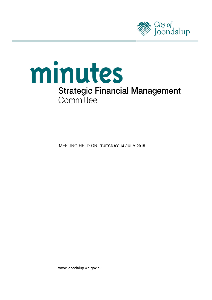



**MEETING HELD ON TUESDAY 14 JULY 2015** 

www.joondalup.wa.gov.au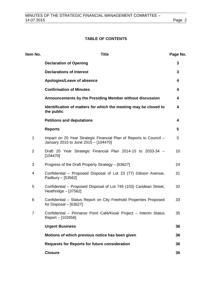# **TABLE OF CONTENTS**

| Item No.       | <b>Title</b>                                                                                               | Page No. |
|----------------|------------------------------------------------------------------------------------------------------------|----------|
|                | <b>Declaration of Opening</b>                                                                              | 3        |
|                | <b>Declarations of Interest</b>                                                                            | 3        |
|                | Apologies/Leave of absence                                                                                 | 4        |
|                | <b>Confirmation of Minutes</b>                                                                             | 4        |
|                | Announcements by the Presiding Member without discussion                                                   | 4        |
|                | Identification of matters for which the meeting may be closed to<br>the public                             | 4        |
|                | <b>Petitions and deputations</b>                                                                           | 4        |
|                | <b>Reports</b>                                                                                             | 5        |
| $\mathbf 1$    | Impact on 20 Year Strategic Financial Plan of Reports to Council -<br>January 2015 to June 2015 - [104470] | 5        |
| $\overline{2}$ | Draft 20 Year Strategic Financial Plan 2014-15 to 2033-34 -<br>[104470]                                    | 10       |
| 3              | Progress of the Draft Property Strategy - [63627]                                                          | 24       |
| 4              | Confidential - Proposed Disposal of Lot 23 (77) Gibson Avenue,<br>Padbury - [53562]                        | 31       |
| 5              | Confidential – Proposed Disposal of Lot 745 (103) Caridean Street,<br>Heathridge $-$ [37562]               | 32       |
| 6              | Confidential - Status Report on City Freehold Properties Proposed<br>for Disposal $-$ [63627]              | 33       |
| $\overline{7}$ | Confidential - Pinnaroo Point Café/Kiosk Project - Interim Status<br>Report - [102656]                     | 35       |
|                | <b>Urgent Business</b>                                                                                     | 36       |
|                | Motions of which previous notice has been given                                                            | 36       |
|                | <b>Requests for Reports for future consideration</b>                                                       | 36       |
|                | <b>Closure</b>                                                                                             | 36       |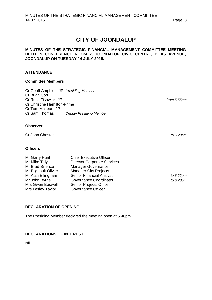# **CITY OF JOONDALUP**

**MINUTES OF THE STRATEGIC FINANCIAL MANAGEMENT COMMITTEE MEETING HELD IN CONFERENCE ROOM 2, JOONDALUP CIVIC CENTRE, BOAS AVENUE, JOONDALUP ON TUESDAY 14 JULY 2015.** 

# **ATTENDANCE**

#### **Committee Members**

Cr Geoff Amphlett, JP *Presiding Member* Cr Brian Corr Cr Russ Fishwick, JP *from 5.55pm* Cr Christine Hamilton-Prime Cr Tom McLean, JP<br>Cr Sam Thomas **Deputy Presiding Member** 

#### **Observer**

Cr John Chester *to 6.28pm*

#### **Officers**

| Mr Garry Hunt        | <b>Chief Executive Officer</b>     |              |
|----------------------|------------------------------------|--------------|
| Mr Mike Tidy         | <b>Director Corporate Services</b> |              |
| Mr Brad Sillence     | <b>Manager Governance</b>          |              |
| Mr Blignault Olivier | <b>Manager City Projects</b>       |              |
| Mr Alan Ellingham    | <b>Senior Financial Analyst</b>    | to $6.22$ pm |
| Mr John Byrne        | Governance Coordinator             | to $6.20pr$  |
| Mrs Gwen Boswell     | <b>Senior Projects Officer</b>     |              |
| Mrs Lesley Taylor    | Governance Officer                 |              |

# <span id="page-2-0"></span>**DECLARATION OF OPENING**

The Presiding Member declared the meeting open at 5.46pm.

# <span id="page-2-1"></span>**DECLARATIONS OF INTEREST**

Nil.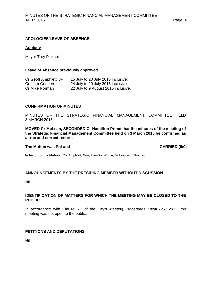# <span id="page-3-0"></span>**APOLOGIES/LEAVE OF ABSENCE**

## **Apology**

Mayor Troy Pickard.

#### **Leave of Absence previously approved**

| Cr Geoff Amphlett, JP | 15 July to 20 July 2015 inclusive;  |
|-----------------------|-------------------------------------|
| Cr Liam Gobbert       | 24 July to 29 July 2015 inclusive;  |
| Cr Mike Norman        | 22 July to 9 August 2015 inclusive. |

## <span id="page-3-1"></span>**CONFIRMATION OF MINUTES**

# MINUTES OF THE STRATEGIC FINANCIAL MANAGEMENT COMMITTEE HELD 3 MARCH 2015

**MOVED Cr McLean, SECONDED Cr Hamilton-Prime that the minutes of the meeting of the Strategic Financial Management Committee held on 3 March 2015 be confirmed as a true and correct record.**

## **The Motion was Put and CARRIED (5/0)**

**In favour of the Motion:** Crs Amphlett, Corr, Hamilton-Prime, McLean and Thomas.

#### <span id="page-3-2"></span>**ANNOUNCEMENTS BY THE PRESIDING MEMBER WITHOUT DISCUSSION**

Nil.

# <span id="page-3-3"></span>**IDENTIFICATION OF MATTERS FOR WHICH THE MEETING MAY BE CLOSED TO THE PUBLIC**

In accordance with Clause 5.2 of the City's *Meeting Procedures Local Law 2013*, this meeting was not open to the public.

# <span id="page-3-4"></span>**PETITIONS AND DEPUTATIONS**

Nil.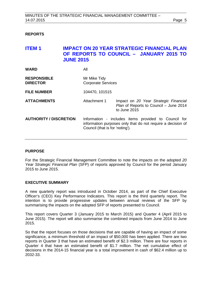# <span id="page-4-0"></span>**REPORTS**

<span id="page-4-1"></span>

| ITEM 1                                | <b>JUNE 2015</b>                          | IMPACT ON 20 YEAR STRATEGIC FINANCIAL PLAN<br>OF REPORTS TO COUNCIL - JANUARY 2015 TO                                                                  |  |
|---------------------------------------|-------------------------------------------|--------------------------------------------------------------------------------------------------------------------------------------------------------|--|
| <b>WARD</b>                           | All                                       |                                                                                                                                                        |  |
| <b>RESPONSIBLE</b><br><b>DIRECTOR</b> | Mr Mike Tidy<br><b>Corporate Services</b> |                                                                                                                                                        |  |
| <b>FILE NUMBER</b>                    | 104470, 101515                            |                                                                                                                                                        |  |
| <b>ATTACHMENTS</b>                    | Attachment 1                              | Impact on 20 Year Strategic Financial<br>Plan of Reports to Council - June 2014<br>to June 2015                                                        |  |
| <b>AUTHORITY / DISCRETION</b>         |                                           | Information - includes items provided to Council for<br>information purposes only that do not require a decision of<br>Council (that is for 'noting'). |  |

#### **PURPOSE**

For the Strategic Financial Management Committee to note the impacts on the adopted *20 Year Strategic Financial Plan* (SFP) of reports approved by Council for the period January 2015 to June 2015.

#### **EXECUTIVE SUMMARY**

A new quarterly report was introduced in October 2014, as part of the Chief Executive Officer's (CEO) Key Performance Indicators. This report is the third quarterly report. The intention is to provide progressive updates between annual reviews of the SFP by summarising the impacts on the adopted SFP of reports presented to Council.

This report covers Quarter 3 (January 2015 to March 2015) and Quarter 4 (April 2015 to June 2015). The report will also summarise the combined impacts from June 2014 to June 2015.

So that the report focuses on those decisions that are capable of having an impact of some significance, a minimum threshold of an impact of \$50,000 has been applied. There are two reports in Quarter 3 that have an estimated benefit of \$2.3 million. There are four reports in Quarter 4 that have an estimated benefit of \$1.7 million. The net cumulative effect of decisions in the 2014-15 financial year is a total improvement in cash of \$62.4 million up to 2032-33.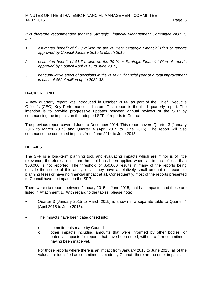*It is therefore recommended that the Strategic Financial Management Committee NOTES the:*

- *1 estimated benefit of \$2.3 million on the 20 Year Strategic Financial Plan of reports approved by Council January 2015 to March 2015;*
- *2 estimated benefit of \$1.7 million on the 20 Year Strategic Financial Plan of reports approved by Council April 2015 to June 2015;*
- *3 net cumulative effect of decisions in the 2014-15 financial year of a total improvement in cash of \$62.4 million up to 2032-33.*

## **BACKGROUND**

A new quarterly report was introduced in October 2014, as part of the Chief Executive Officer's (CEO) Key Performance Indicators. This report is the third quarterly report. The intention is to provide progressive updates between annual reviews of the SFP by summarising the impacts on the adopted SFP of reports to Council.

The previous report covered June to December 2014. This report covers Quarter 3 (January 2015 to March 2015) and Quarter 4 (April 2015 to June 2015). The report will also summarise the combined impacts from June 2014 to June 2015.

## **DETAILS**

The SFP is a long-term planning tool, and evaluating impacts which are minor is of little relevance, therefore a minimum threshold has been applied where an impact of less than \$50,000 is not reported. The threshold of \$50,000 results in many of the reports being outside the scope of this analysis, as they have a relatively small amount (for example planning fees) or have no financial impact at all. Consequently, most of the reports presented to Council have no impact on the SFP.

There were six reports between January 2015 to June 2015, that had impacts, and these are listed in Attachment 1. With regard to the tables, please note:

- Quarter 3 (January 2015 to March 2015) is shown in a separate table to Quarter 4 (April 2015 to June 2015).
- The impacts have been categorised into:
	- o commitments made by Council<br>o other impacts including amou
	- o other impacts including amounts that were informed by other bodies, or potential impacts for reports that have been noted, without a firm commitment having been made yet.

For those reports where there is an impact from January 2015 to June 2015, all of the values are identified as commitments made by Council, there are no other impacts.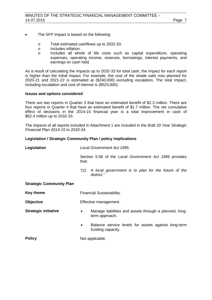- The SFP Impact is based on the following:
	- o Total estimated cashflows up to 2032-33.
	- o Includes inflation.<br>
	o Includes all who
	- Includes all whole of life costs such as capital expenditure, operating expenses, operating income, reserves, borrowings, interest payments, and earnings on cash held.

As a result of calculating the impacts up to 2032-33 for total cash, the impact for each report is higher than the initial impact. For example, the cost of the shade sails now planned for 2020-21 and 2021-22 is estimated at (\$240,000) excluding escalation. The total impact, including escalation and cost of interest is (\$523,000).

## **Issues and options considered**

There are two reports in Quarter 3 that have an estimated benefit of \$2.3 million. There are four reports in Quarter 4 that have an estimated benefit of \$1.7 million. The net cumulative effect of decisions in the 2014-15 financial year is a total improvement in cash of \$62.4 million up to 2032-33.

The impacts of all reports included in Attachment 1 are included in the draft *20 Year Strategic Financial Plan 2014-15 to 2033-34*.

# **Legislation / Strategic Community Plan / policy implications**

| Legislation                      | Local Government Act 1995.                                                            |  |  |
|----------------------------------|---------------------------------------------------------------------------------------|--|--|
|                                  | Section 5.56 of the Local Government Act 1995 provides<br>that:                       |  |  |
|                                  | A local government is to plan for the future of the<br>"(1)<br>district."             |  |  |
| <b>Strategic Community Plan</b>  |                                                                                       |  |  |
| <b>Key theme</b>                 | <b>Financial Sustainability.</b>                                                      |  |  |
| <b>Objective</b>                 | Effective management.                                                                 |  |  |
| <b>Strategic initiative</b>      | Manage liabilities and assets through a planned, long-<br>$\bullet$<br>term approach. |  |  |
|                                  | Balance service levels for assets against long-term<br>funding capacity.              |  |  |
| <b>Policy</b><br>Not applicable. |                                                                                       |  |  |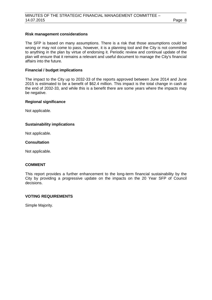## **Risk management considerations**

The SFP is based on many assumptions. There is a risk that those assumptions could be wrong or may not come to pass, however, it is a planning tool and the City is not committed to anything in the plan by virtue of endorsing it. Periodic review and continual update of the plan will ensure that it remains a relevant and useful document to manage the City's financial affairs into the future.

#### **Financial / budget implications**

The impact to the City up to 2032-33 of the reports approved between June 2014 and June 2015 is estimated to be a benefit of \$62.4 million. This impact is the total change in cash at the end of 2032-33, and while this is a benefit there are some years where the impacts may be negative.

#### **Regional significance**

Not applicable.

# **Sustainability implications**

Not applicable.

## **Consultation**

Not applicable.

# **COMMENT**

This report provides a further enhancement to the long-term financial sustainability by the City by providing a progressive update on the impacts on the 20 Year SFP of Council decisions.

# **VOTING REQUIREMENTS**

Simple Majority.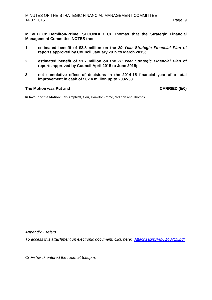**MOVED Cr Hamilton-Prime, SECONDED Cr Thomas that the Strategic Financial Management Committee NOTES the:** 

- **1 estimated benefit of \$2.3 million on the** *20 Year Strategic Financial Plan* **of reports approved by Council January 2015 to March 2015;**
- **2 estimated benefit of \$1.7 million on the** *20 Year Strategic Financial Plan* **of reports approved by Council April 2015 to June 2015;**
- **3 net cumulative effect of decisions in the 2014-15 financial year of a total improvement in cash of \$62.4 million up to 2032-33.**

# **The Motion was Put and CARRIED (5/0)**

**In favour of the Motion:** Crs Amphlett, Corr, Hamilton-Prime, McLean and Thomas.

*Appendix 1 refers*

*[To access this attachment on electronic document, click here: Attach1agnSFMC140715.pdf](http://www.joondalup.wa.gov.au/files/committees/SFMC/2015/Attach1agnSFMC140715.pdf)*

*Cr Fishwick entered the room at 5.55pm.*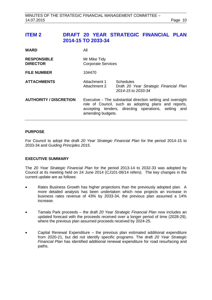<span id="page-9-0"></span>

| <b>WARD</b>                           | All                                                                                                                                                                                              |                                                                                  |  |
|---------------------------------------|--------------------------------------------------------------------------------------------------------------------------------------------------------------------------------------------------|----------------------------------------------------------------------------------|--|
| <b>RESPONSIBLE</b><br><b>DIRECTOR</b> | Mr Mike Tidy<br><b>Corporate Services</b>                                                                                                                                                        |                                                                                  |  |
| <b>FILE NUMBER</b>                    | 104470                                                                                                                                                                                           |                                                                                  |  |
| <b>ATTACHMENTS</b>                    | Attachment 1<br>Attachment 2                                                                                                                                                                     | <b>Schedules</b><br>Draft 20 Year Strategic Financial Plan<br>2014-15 to 2033-34 |  |
| <b>AUTHORITY / DISCRETION</b>         | Executive - The substantial direction setting and oversight<br>role of Council, such as adopting plans and reports,<br>accepting tenders, directing operations, setting and<br>amending budgets. |                                                                                  |  |

# **PURPOSE**

For Council to adopt the draft *20 Year Strategic Financial Plan* for the period 2014-15 to 2033-34 and *Guiding Principles 2015*.

# **EXECUTIVE SUMMARY**

The *20 Year Strategic Financial Plan* for the period 2013-14 to 2032-33 was adopted by Council at its meeting held on 24 June 2014 (CJ101-06/14 refers). The key changes in the current update are as follows:

- Rates Business Growth has higher projections than the previously adopted plan. A more detailed analysis has been undertaken which now projects an increase in business rates revenue of 43% by 2033-34, the previous plan assumed a 14% increase.
- Tamala Park proceeds the draft *20 Year Strategic Financial Plan* now includes an updated forecast with the proceeds received over a longer period of time (2028-29), where the previous plan assumed proceeds received by 2024-25.
- Capital Renewal Expenditure the previous plan estimated additional expenditure from 2020-21, but did not identify specific programs. The draft *20 Year Strategic Financial Plan* has identified additional renewal expenditure for road resurfacing and paths.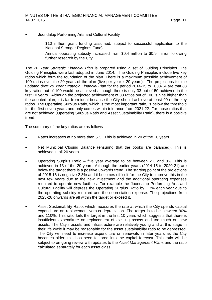- Joondalup Performing Arts and Cultural Facility
	- \$10 million grant funding assumed, subject to successful application to the National Stronger Regions Fund).
	- Annual operating subsidy increased from \$0.4 million to \$0.9 million following further research by the City.

The *20 Year Strategic Financial Plan* is prepared using a set of Guiding Principles. The Guiding Principles were last adopted in June 2014. The Guiding Principles include five key ratios which form the foundation of the plan. There is a maximum possible achievement of 100 ratios over the 20 years of the plan (five per year x 20 years). The projections for the updated draft *20 Year Strategic Financial Plan* for the period 2014-15 to 2033-34 are that 83 key ratios out of 100 would be achieved although there is only 33 out of 50 achieved in the first 10 years. Although the projected achievement of 83 ratios out of 100 is nine higher than the adopted plan, it is far from ideal because the City should achieve at least 90 of the key ratios. The Operating Surplus Ratio, which is the most important ratio, is below the threshold for the first seven years and only comes within tolerance from 2021-22. For those ratios that are not achieved (Operating Surplus Ratio and Asset Sustainability Ratio), there is a positive trend.

The summary of the key ratios are as follows:

- Rates increases at no more than 5%. This is achieved in 20 of the 20 years.
- Net Municipal Closing Balance (ensuring that the books are balanced). This is achieved in all 20 years.
- Operating Surplus Ratio five year average to be between  $2\%$  and  $8\%$ . This is achieved in 13 of the 20 years. Although the earlier years (2014-15 to 2020-21) are below the target there is a positive upwards trend. The starting point of the projections of 2015-16 is negative 2.3% and it becomes difficult for the City to improve this in the next few years due to the new investment and the additional operating expenses required to operate new facilities. For example the Joondalup Performing Arts and Cultural Facility will depress the Operating Surplus Ratio by 1.3% each year due to the operating subsidy required and the depreciation expense. The projections from 2025-26 onwards are all within the target or exceed it.
- Asset Sustainability Ratio, which measures the rate at which the City spends capital expenditure on replacement versus depreciation. The target is to be between 90% and 110%. This ratio fails the target in the first 10 years which suggests that there is insufficient expenditure on replacement of existing assets and too much on new assets. The City's assets and infrastructure are relatively young and at this stage in their life cycle it may be reasonable for the asset sustainability ratio to be depressed. The City will need to increase expenditure on renewals in later years as the City becomes older; this has been factored into the capital forecast. This ratio will be subject to on-going review with updates to the *Asset Management Plans* and the ratio calculated separately for each asset class.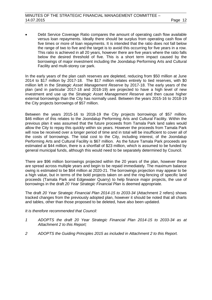• Debt Service Coverage Ratio compares the amount of operating cash flow available versus loan repayments. Ideally there should be surplus from operating cash flow of five times or more of loan repayments. It is intended that the ratio does not fall below the range of two to five and the target is to avoid this occurring for five years in a row. This ratio is achieved in all 20 years, however there are five years where the ratio falls below the desired threshold of five. This is a short term impact caused by the borrowings of major investment including the Joondalup Performing Arts and Cultural Facility and multi-storey car park.

In the early years of the plan cash reserves are depleted, reducing from \$50 million at June 2014 to \$17 million by 2017-18. The \$17 million relates entirely to tied reserves, with \$0 million left in the *Strategic Asset Management Reserve* by 2017-18. The early years of the plan (and in particular 2017-18 and 2018-19) are projected to have a high level of new investment and use up the *Strategic Asset Management Reserve* and then cause higher external borrowings than the City has normally used. Between the years 2015-16 to 2018-19 the City projects borrowings of \$57 million.

Between the years 2015-16 to 2018-19 the City projects borrowings of \$57 million. \$46 million of this relates to the Joondalup Performing Arts and Cultural Facility. Within the previous plan it was assumed that the future proceeds from Tamala Park land sales would allow the City to repay this quickly within six years. However the proceeds from Tamala Park will now be received over a longer period of time and in total will be insufficient to cover all of the costs of borrowings. The total cost to the City, including interest, of the Joondalup Performing Arts and Cultural Facility is \$67 million. As the future Tamala Park proceeds are estimated at \$44 million, there is a shortfall of \$23 million, which is assumed to be funded by general municipal funds, although this would need to be separately determined by Council.

There are \$96 million borrowings projected within the 20 years of the plan, however these are spread across multiple years and begin to be repaid immediately. The maximum balance owing is estimated to be \$64 million at 2020-21. The borrowings projection may appear to be a high value, but in terms of the bold projects taken on and the ring-fencing of specific land proceeds (Tamala Park and Edgewater Quarry) to help finance major projects, the use of borrowings in the draft *20 Year Strategic Financial Plan* is deemed appropriate.

The draft *20 Year Strategic Financial Plan 2014-15 to 2033-34* (Attachment 2 refers) shows tracked changes from the previously adopted plan, however it should be noted that all charts and tables, other than those proposed to be deleted, have also been updated.

#### *It is therefore recommended that Council:*

- *1 ADOPTS the draft 20 Year Strategic Financial Plan 2014-15 to 2033-34 as at Attachment 2 to this Report;*
- *2 ADOPTS the Guiding Principles 2015 as included in Attachment 2 to this Report.*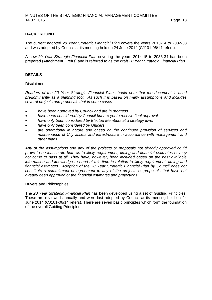# **BACKGROUND**

The current adopted *20 Year Strategic Financial Plan* covers the years 2013-14 to 2032-33 and was adopted by Council at its meeting held on 24 June 2014 (CJ101-06/14 refers).

A new 20 *Year Strategic Financial Plan* covering the years 2014-15 to 2033-34 has been prepared (Attachment 2 refrs) and is referred to as the draft *20 Year Strategic Financial Plan.*

# **DETAILS**

#### Disclaimer

*Readers of the 20 Year Strategic Financial Plan should note that the document is used predominantly as a planning tool. As such it is based on many assumptions and includes several projects and proposals that in some cases:*

- *have been approved by Council and are in progress*
- *have been considered by Council but are yet to receive final approval*
- *have only been considered by Elected Members at a strategy level*
- *have only been considered by Officers*
- *are operational in nature and based on the continued provision of services and maintenance of City assets and infrastructure in accordance with management and other plans.*

*Any of the assumptions and any of the projects or proposals not already approved could prove to be inaccurate both as to likely requirement, timing and financial estimates or may not come to pass at all. They have, however, been included based on the best available information and knowledge to hand at this time in relation to likely requirement, timing and financial estimates. Adoption of the 20 Year Strategic Financial Plan by Council does not constitute a commitment or agreement to any of the projects or proposals that have not already been approved or the financial estimates and projections.*

#### Drivers and Philosophies

The *20 Year Strategic Financial Plan* has been developed using a set of Guiding Principles. These are reviewed annually and were last adopted by Council at its meeting held on 24 June 2014 (CJ101-06/14 refers). There are seven basic principles which form the foundation of the overall Guiding Principles: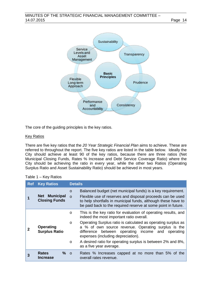

The core of the guiding principles is the key ratios.

# Key Ratios

There are five key ratios that the *20 Year Strategic Financial Plan* aims to achieve. These are referred to throughout the report. The five key ratios are listed in the table below. Ideally the City should achieve at least 90 of the key ratios, because there are three ratios (Net Municipal Closing Funds, Rates % Increase and Debt Service Coverage Ratio) where the City should be achieving the ratio in every year, while the other two Ratios (Operating Surplus Ratio and Asset Sustainability Ratio) should be achieved in most years.

| Table 1 – Key Ratios |  |  |
|----------------------|--|--|
|----------------------|--|--|

| <b>Ref</b> | <b>Key Ratios</b>                       | <b>Details</b> |                                                                                                                                                                                                                                                                                               |  |
|------------|-----------------------------------------|----------------|-----------------------------------------------------------------------------------------------------------------------------------------------------------------------------------------------------------------------------------------------------------------------------------------------|--|
|            | Net Municipal<br><b>Closing Funds</b>   | $\circ$        | Balanced budget (net municipal funds) is a key requirement.<br>Flexible use of reserves and disposal proceeds can be used<br>to help shortfalls in municipal funds, although these have to<br>be paid back to the required reserve at some point in future.                                   |  |
|            |                                         | $\circ$        | This is the key ratio for evaluation of operating results, and<br>indeed the most important ratio overall.                                                                                                                                                                                    |  |
|            | Operating<br><b>Surplus Ratio</b>       | $\circ$        | expenses (including depreciation).                                                                                                                                                                                                                                                            |  |
|            |                                         | $\circ$        | Operating Surplus ratio is calculated as operating surplus as<br>a % of own source revenue. Operating surplus is the<br>difference between operating income and operating<br>A desired ratio for operating surplus is between 2% and 8%,<br>as a five year average.<br>overall rates revenue. |  |
|            | $%$ $\circ$<br><b>Rates</b><br>Increase |                | Rates % Increases capped at no more than 5% of the                                                                                                                                                                                                                                            |  |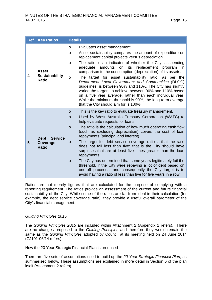| <b>Ref</b> | <b>Key Ratios</b>                                         | <b>Details</b>                                                                                                                                                                                                                                                                                                                                                                                                                                                                                                                                                                                                                                                                                                                                                                                                                                              |  |  |
|------------|-----------------------------------------------------------|-------------------------------------------------------------------------------------------------------------------------------------------------------------------------------------------------------------------------------------------------------------------------------------------------------------------------------------------------------------------------------------------------------------------------------------------------------------------------------------------------------------------------------------------------------------------------------------------------------------------------------------------------------------------------------------------------------------------------------------------------------------------------------------------------------------------------------------------------------------|--|--|
| 4          | <b>Asset</b><br><b>Sustainability</b><br><b>Ratio</b>     | Evaluates asset management.<br>$\circ$<br>Asset sustainability compares the amount of expenditure on<br>$\circ$<br>replacement capital projects versus depreciation.<br>The ratio is an indicator of whether the City is spending<br>$\circ$<br>amounts on its replacement<br>adequate<br>program<br>in.<br>comparison to the consumption (depreciation) of its assets.<br>The target for asset sustainability ratio, as per the<br>$\circ$<br>Department Local Government and Communities (DLGC)<br>guidelines, is between 90% and 110%. The City has slightly<br>varied the targets to achieve between 90% and 110% based<br>on a five year average, rather than each individual year.<br>While the minimum threshold is 90%, the long-term average<br>that the City should aim for is 100%.                                                              |  |  |
| 5          | <b>Service</b><br><b>Debt</b><br>Coverage<br><b>Ratio</b> | This is the key ratio to evaluate treasury management.<br>$\circ$<br>Used by West Australia Treasury Corporation (WATC) to<br>$\circ$<br>help evaluate requests for loans.<br>The ratio is the calculation of how much operating cash flow<br>$\circ$<br>(such as excluding depreciation) covers the cost of loan<br>repayments (principal and interest).<br>The target for debt service coverage ratio is that the ratio<br>$\circ$<br>does not fall less than five: that is the City should have<br>surpluses that are at least five times greater than the loan<br>repayments.<br>The City has determined that some years legitimately fail the<br>$\circ$<br>threshold, if the City were repaying a lot of debt based on<br>one-off proceeds, and consequently the City target is to<br>avoid having a ratio of less than five for five years in a row. |  |  |

Ratios are not merely figures that are calculated for the purpose of complying with a reporting requirement. The ratios provide an assessment of the current and future financial sustainability of the City. While some of the ratios are far from ideal in their calculation (for example, the debt service coverage ratio), they provide a useful overall barometer of the City's financial management.

#### *Guiding Principles 2015*

The *Guiding Principles 2015* are included within Attachment 2 (Appendix 1 refers). There are no changes proposed to the *Guiding Principles* and therefore they would remain the same as the *Guiding Principles* adopted by Council at its meeting held on 24 June 2014 (CJ101-06/14 refers).

#### How the 20 Year Strategic Financial Plan is produced

There are five sets of assumptions used to build up the *20 Year Strategic Financial Plan*, as summarised below. These assumptions are explained in more detail in Section 6 of the plan itself (Attachment 2 refers).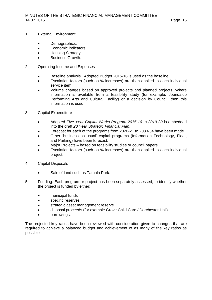- 1 External Environment
	- Demographics.
	- Economic indicators.
	- Housing Strategy.
	- Business Growth.

# 2 Operating Income and Expenses

- Baseline analysis. Adopted Budget 2015-16 is used as the baseline.
- Escalation factors (such as % increases) are then applied to each individual service item.
- Volume changes based on approved projects and planned projects. Where information is available from a feasibility study (for example, Joondalup Performing Arts and Cultural Facility) or a decision by Council, then this information is used.
- 3 Capital Expenditure
	- Adopted *Five Year Capital Works Program 2015-16 to 2019-20* is embedded into the draft *20 Year Strategic Financial Plan*.
	- Forecast for each of the programs from 2020-21 to 2033-34 have been made.
	- Other 'business as usual' capital programs (Information Technology, Fleet, and Parking) have been forecast.
	- Major Projects based on feasibility studies or council papers.
	- Escalation factors (such as % increases) are then applied to each individual project.
- 4 Capital Disposals
	- Sale of land such as Tamala Park.
- 5 Funding. Each program or project has been separately assessed, to identify whether the project is funded by either:
	- municipal funds
	- specific reserves
	- strategic asset management reserve
	- disposal proceeds (for example Grove Child Care / Dorchester Hall)
	- borrowings.

The projected key ratios have been reviewed with consideration given to changes that are required to achieve a balanced budget and achievement of as many of the key ratios as possible.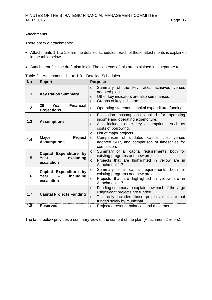#### **Attachments**

There are two attachments:

- Attachments 1.1 to 1.8 are the detailed schedules. Each of these attachments is explained in the table below.
- Attachment 2 is the draft plan itself. The contents of this are explained in a separate table.

| <b>No</b> | <b>Report</b>                                                           | <b>Purpose</b>                                                                                                                                                                                |
|-----------|-------------------------------------------------------------------------|-----------------------------------------------------------------------------------------------------------------------------------------------------------------------------------------------|
| 1.1       | <b>Key Ratios Summary</b>                                               | Summary of the key ratios achieved versus<br>$\circ$<br>adopted plan.<br>Other key indicators are also summarised.<br>$\circ$<br>Graphs of key indicators.<br>$\circ$                         |
| 1.2       | <b>Financial</b><br>20<br>Year<br><b>Projections</b>                    | Operating statement, capital expenditure, funding.<br>O                                                                                                                                       |
| 1.3       | <b>Assumptions</b>                                                      | Escalation assumptions applied for operating<br>$\circ$<br>income and operating expenditure.<br>Also includes other key assumptions, such as<br>$\circ$<br>costs of borrowing.                |
| 1.4       | Project<br><b>Major</b><br><b>Assumptions</b>                           | List of major projects.<br>$\circ$<br>Comparison of updated capital cost versus<br>$\circ$<br>adopted SFP, and comparison of timescales for<br>completion.                                    |
| 1.5       | Capital Expenditure by<br>Year<br>excluding<br>$\sim$ $-$<br>escalation | Summary of all capital requirements, both for<br>$\circ$<br>existing programs and new projects.<br>Projects that are highlighted in yellow are in<br>$\circ$<br>Attachment 1.7.               |
| 1.6       | Capital Expenditure by<br>Year $-$<br>including<br>escalation           | Summary of all capital requirements, both for<br>$\circ$<br>existing programs and new projects.<br>Projects that are highlighted in yellow are in<br>$\circ$<br>Attachment 1.7.               |
| 1.7       | <b>Capital Projects Funding</b>                                         | Funding summary to explain how each of the large<br>$\circ$<br>/ significant projects are funded.<br>This only includes those projects that are not<br>$\circ$<br>funded solely by municipal. |
| 1.8       | <b>Reserves</b>                                                         | Projected reserve balances and movements.<br>$\circ$                                                                                                                                          |

The table below provides a summary view of the content of the plan (Attachment 2 refers):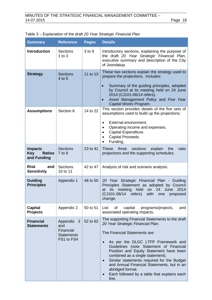| <b>Summary</b>                                               | <b>Reference</b>                                                  | <b>Pages</b> | <b>Details</b>                                                                                                                                                                                                                                                                                                                                                                                                                                                                                        |
|--------------------------------------------------------------|-------------------------------------------------------------------|--------------|-------------------------------------------------------------------------------------------------------------------------------------------------------------------------------------------------------------------------------------------------------------------------------------------------------------------------------------------------------------------------------------------------------------------------------------------------------------------------------------------------------|
| <b>Introduction</b>                                          | <b>Sections</b><br>1 to $3$                                       | 3 to 9       | Introductory sections, explaining the purpose of<br>the draft 20 Year Strategic Financial Plan,<br>executive summary and description of the City<br>of Joondalup.                                                                                                                                                                                                                                                                                                                                     |
| <b>Strategy</b>                                              | <b>Sections</b><br>4 to 5                                         | 11 to 13     | These two sections explain the strategy used to<br>prepare the projections. Includes:<br>Summary of the guiding principles, adopted<br>$\bullet$<br>by Council at its meeting held on 24 June<br>2014 (CJ101-06/14 refers).<br>Asset Management Policy and Five Year<br>Capital Works Program.                                                                                                                                                                                                        |
| <b>Assumptions</b>                                           | Section 6                                                         | 14 to 22     | This section provides details of the five sets of<br>assumptions used to build up the projections:<br>External environment.<br>Operating income and expenses.<br>Capital Expenditure.<br>Capital Proceeds.<br>Funding.                                                                                                                                                                                                                                                                                |
| <b>Impacts</b><br><b>Key</b><br><b>Ratios</b><br>and Funding | <b>Sections</b><br>7 to 9                                         | 23 to 41     | <b>These</b><br>three<br>sections<br>explain<br>ratio<br>the<br>projections and the supporting schedules.                                                                                                                                                                                                                                                                                                                                                                                             |
| <b>Risk</b><br>and<br><b>Sensitivity</b>                     | <b>Sections</b><br>10 to 11                                       | 42 to 47     | Analysis of risk and scenario analysis.                                                                                                                                                                                                                                                                                                                                                                                                                                                               |
| <b>Guiding</b><br><b>Principles</b>                          | Appendix 1                                                        | 48 to 50     | 20 Year Strategic Financial Plan - Guiding<br>Principles Statement as adopted by Council<br>meeting<br>held<br>24<br>June<br>2014<br>its<br>on<br>at<br>(CJ101-06/14 refers)<br>with<br>one<br>proposed<br>change.                                                                                                                                                                                                                                                                                    |
| <b>Capital</b><br><b>Projects</b>                            | Appendix 2                                                        | 50 to 51     | of<br>capital<br>programs/projects,<br>List<br>and<br>associated operating impacts.                                                                                                                                                                                                                                                                                                                                                                                                                   |
| <b>Financial</b><br><b>Statements</b>                        | Appendix 3<br>and<br>Financial<br><b>Statements</b><br>FS1 to FS4 | 52 to 62     | The supporting Financial Statements to the draft<br>20 Year Strategic Financial Plan.<br>The Financial Statements are:<br>As per the DLGC LTFP Framework and<br>$\bullet$<br>Guidelines (note Statement of Financial<br>Position and Equity Statement have been<br>combined as a single statement).<br>Similar statements required for the Budget<br>$\bullet$<br>and Annual Financial Statements, but in an<br>abridged format.<br>Each followed by a table that explains each<br>$\bullet$<br>line. |

# Table 3 – Explanation of the draft *20 Year Strategic Financial Plan*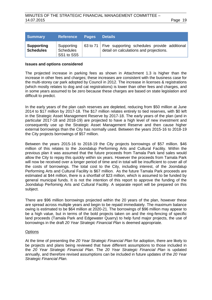| <b>Summary</b>                        | <b>Reference</b>                             | <b>Pages</b> | <b>Details</b>                                                                                     |
|---------------------------------------|----------------------------------------------|--------------|----------------------------------------------------------------------------------------------------|
| <b>Supporting</b><br><b>Schedules</b> | Supporting<br><b>Schedules</b><br>SS1 to SS5 |              | 63 to 71   Five supporting schedules provide additional<br>detail on calculations and projections. |

#### **Issues and options considered**

The projected increase in parking fees as shown in Attachment 1.3 is higher than the increase in other fees and charges; these increases are consistent with the business case for the multi-storey car park adopted by Council in 2012. The increase in licenses & registrations (which mostly relates to dog and cat registrations) is lower than other fees and charges, and in some years assumed to be zero because these charges are based on state legislation and difficult to predict.

In the early years of the plan cash reserves are depleted, reducing from \$50 million at June 2014 to \$17 million by 2017-18. The \$17 million relates entirely to tied reserves, with \$0 left in the Strategic Asset Management Reserve by 2017-18. The early years of the plan (and in particular 2017-18 and 2018-19) are projected to have a high level of new investment and consequently use up the Strategic Asset Management Reserve and then cause higher external borrowings than the City has normally used. Between the years 2015-16 to 2018-19 the City projects borrowings of \$57 million.

Between the years 2015-16 to 2018-19 the City projects borrowings of \$57 million. \$46 million of this relates to the Joondalup Performing Arts and Cultural Facility. Within the previous plan it was assumed that the future proceeds from Tamala Park land sales would allow the City to repay this quickly within six years. However the proceeds from Tamala Park will now be received over a longer period of time and in total will be insufficient to cover all of the costs of borrowings. The total cost to the City, including interest, of the Joondalup Performing Arts and Cultural Facility is \$67 million. As the future Tamala Park proceeds are estimated at \$44 million, there is a shortfall of \$23 million, which is assumed to be funded by general municipal funds. It is not the intention of this report to approve the funding of the Joondalup Perfoming Arts and Cultural Facility. A separate report will be prepared on this subject.

There are \$96 million borrowings projected within the 20 years of the plan, however these are spread across multiple years and begin to be repaid immediately. The maximum balance owing is estimated to be \$64 million at 2020-21. The borrowings of \$96 million may appear to be a high value, but in terms of the bold projects taken on and the ring-fencing of specific land proceeds (Tamala Park and Edgewater Quarry) to help fund major projects, the use of borrowings in the draft *20 Year Strategic Financial Plan* is deemed appropriate.

#### **Options**

At the time of presenting the *20 Year Strategic Financial Plan* for adoption, there are likely to be projects and plans being reviewed that have different assumptions to those included in the *20 Year Strategic Financial Plan*. The *20 Year Strategic Financial Plan* is updated annually, and therefore revised assumptions can be included in future updates of the *20 Year Strategic Financial Plan.*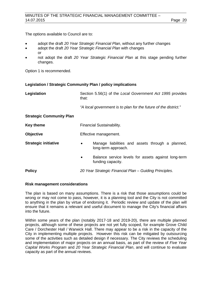The options available to Council are to:

- adopt the draft *20 Year Strategic Financial Plan*, without any further changes
- adopt the draft *20 Year Strategic Financial Plan* with changes or
- not adopt the draft *20 Year Strategic Financial Plan* at this stage pending further changes.

Option 1 is recommended.

## **Legislation / Strategic Community Plan / policy implications**

| Legislation                     | Section 5.56(1) of the Local Government Act 1995 provides<br>that:                    |  |  |
|---------------------------------|---------------------------------------------------------------------------------------|--|--|
|                                 | "A local government is to plan for the future of the district."                       |  |  |
| <b>Strategic Community Plan</b> |                                                                                       |  |  |
| <b>Key theme</b>                | Financial Sustainability.                                                             |  |  |
| <b>Objective</b>                | Effective management.                                                                 |  |  |
| <b>Strategic initiative</b>     | Manage liabilities and assets through a planned,<br>$\bullet$<br>long-term approach.  |  |  |
|                                 | Balance service levels for assets against long-term<br>$\bullet$<br>funding capacity. |  |  |
| <b>Policy</b>                   | 20 Year Strategic Financial Plan - Guiding Principles.                                |  |  |

#### **Risk management considerations**

The plan is based on many assumptions. There is a risk that those assumptions could be wrong or may not come to pass, however, it is a planning tool and the City is not committed to anything in the plan by virtue of endorsing it. Periodic review and update of the plan will ensure that it remains a relevant and useful document to manage the City's financial affairs into the future.

Within some years of the plan (notably 2017-18 and 2019-20), there are multiple planned projects, although some of these projects are not yet fully scoped, for example Grove Child Care / Dorchester Hall / Warwick Hall. There may appear to be a risk in the capacity of the City in implementing multiple projects. However this risk can be mitigated by outsourcing some of the activities such as detailed design if necessary. The City reviews the scheduling and implementation of major projects on an annual basis, as part of the review of *Five Year Capital Works Program* and *20 Year Strategic Financial Plan*, and will continue to evaluate capacity as part of the annual reviews.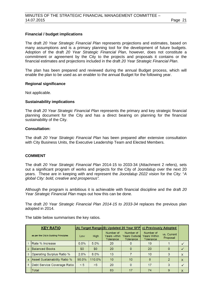# **Financial / budget implications**

The draft *20 Year Strategic Financial Plan* represents projections and estimates, based on many assumptions and is a primary planning tool for the development of future budgets. Adoption of the draft *20 Year Strategic Financial Plan*, however, does not constitute a commitment or agreement by the City to the projects and proposals it contains or the financial estimates and projections included in the draft *20 Year Strategic Financial Plan*.

The plan has been prepared and reviewed during the annual Budget process, which will enable the plan to be used as an enabler to the annual Budget for the following year.

#### **Regional significance**

Not applicable.

#### **Sustainability implications**

The draft *20 Year Strategic Financial Plan* represents the primary and key strategic financial planning document for the City and has a direct bearing on planning for the financial sustainability of the City.

#### **Consultation:**

The draft *20 Year Strategic Financial Plan* has been prepared after extensive consultation with City Business Units, the Executive Leadership Team and Elected Members.

#### **COMMENT**

The draft *20 Year Strategic Financial Plan* 2014-15 to 2033-34 (Attachment 2 refers), sets out a significant program of works and projects for the City of Joondalup over the next 20 years. These are in keeping with and represent the *Joondalup 2022* vision for the City: "*A global City: bold, creative and prosperous".*

Although the program is ambitious it is achievable with financial discipline and the draft *20 Year Strategic Financial Plan* maps out how this can be done.

The draft *20 Year Strategic Financial Plan 2014-15 to 2033-34* replaces the previous plan adopted in 2014.

The table below summarises the key ratios.

| <b>KEY RATIO</b>                     |                              |          |         | (A) Target Range(B) Updated 20 Year SFP       |                                                | c) Previously Adopted                         |                         |              |
|--------------------------------------|------------------------------|----------|---------|-----------------------------------------------|------------------------------------------------|-----------------------------------------------|-------------------------|--------------|
| as per the City's Guiding Principles |                              | Low      | High    | Number of<br>Years within<br><b>Tolerance</b> | Number of<br><b>Years Outside</b><br>Tolerance | Number of<br>Years Within<br><b>Tolerance</b> | vs. Current<br>Proposal |              |
|                                      | <b>IRate % Increase</b>      | $0.0\%$  | $5.0\%$ | 20                                            | 0                                              | 19                                            |                         |              |
|                                      | <b>IBalanced Books</b>       | \$0      | \$0     | 20                                            | 0                                              | 20                                            | 0                       |              |
| 3                                    | Operating Surplus Ratio %    | 2.0%     | $8.0\%$ | 13                                            |                                                | 10                                            | 3                       | $\mathsf{x}$ |
| 4                                    | Asset Sustainability Ratio % | $90.0\%$ | 110.0%  | 10                                            | 10                                             | 8                                             | 2                       | $\mathsf{X}$ |
| 5                                    | Debt Service Coverage Ratio  | < 5      | >5      | 20                                            | 0                                              | 17                                            | 3                       |              |
|                                      | <b>Total</b>                 |          |         | 83                                            | 17                                             | 74                                            | 9                       | X            |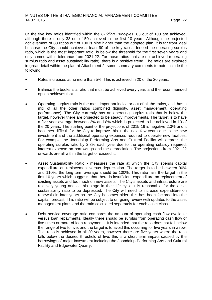Of the five key ratios identified within the *Guiding Principles*, 83 out of 100 are achieved, although there is only 33 out of 50 achieved in the first 10 years. Although the projected achievement of 83 ratios out of 100 is nine higher than the adopted plan, it is far from ideal because the City should achieve at least 90 of the key ratios. Indeed the operating surplus ratio, which is the most important ratio, is below the threshold for the first seven years and only comes within tolerance from 2021-22. For those ratios that are not achieved (operating surplus ratio and asset sustainability ratio), there is a positive trend. The ratios are explored in great detail within the plan at Attachment 2; some summary comments to note include the following:

- Rates increases at no more than 5%. This is achieved in 20 of the 20 years.
- Balance the books is a ratio that must be achieved every year, and the recommended option achieves that.
- Operating surplus ratio is the most important indicator out of all the ratios, as it has a mix of all the other ratios combined (liquidity, asset management, operating performance). The City currently has an operating surplus ratio that is below the target, however there are projected to be steady improvements. The target is to have a five year average between 2% and 8% which is projected to be achieved in 13 of the 20 years. The starting point of the projections of 2015-16 is negative 2.3% and it becomes difficult for the City to improve this in the next few years due to the new investment and the additional operating expenses required to operate new facilities. For example the Joondalup Performing Arts and Cultural Facility will depress the operating surplus ratio by 2.8% each year due to the operating subsidy required, interest expense on borrowings and the depreciation. The projections from 2021-22 onwards are all within the target or exceed it.
- Asset Sustainability Ratio measures the rate at which the City spends capital expenditure on replacement versus depreciation. The target is to be between 90% and 110%, the long-term average should be 100%. This ratio fails the target in the first 10 years which suggests that there is insufficient expenditure on replacement of existing assets and too much on new assets. The City's assets and infrastructure are relatively young and at this stage in their life cycle it is reasonable for the asset sustainability ratio to be depressed. The City will need to increase expenditure on renewals in later years as the City becomes older; this has been factored into the capital forecast. This ratio will be subject to on-going review with updates to the asset management plans and the ratio calculated separately for each asset class.
- Debt service coverage ratio compares the amount of operating cash flow available versus loan repayments. Ideally there should be surplus from operating cash flow of five times or more of loan repayments. It is intended that the ratio does not fall below the range of two to five, and the target is to avoid this occurring for five years in a row. This ratio is achieved in all 20 years, however there are five years where the ratio falls below the desired threshold of five, this is a short term impact caused by the borrowings of major investment including the Joondalup Performing Arts and Cultural Facility and Edgewater Quarry.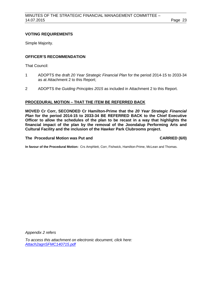# **VOTING REQUIREMENTS**

Simple Majority.

# **OFFICER'S RECOMMENDATION**

That Council:

- 1 ADOPTS the draft *20 Year Strategic Financial Plan* for the period 2014-15 to 2033-34 as at Attachment 2 to this Report;
- 2 ADOPTS the *Guiding Principles 2015* as included in Attachment 2 to this Report.

# **PROCEDURAL MOTION – THAT THE ITEM BE REFERRED BACK**

**MOVED Cr Corr, SECONDED Cr Hamilton-Prime that the** *20 Year Strategic Financial Plan* **for the period 2014-15 to 2033-34 BE REFERRED BACK to the Chief Executive Officer to allow the schedules of the plan to be recast in a way that highlights the financial impact of the plan by the removal of the Joondalup Performing Arts and Cultural Facility and the inclusion of the Hawker Park Clubrooms project.** 

# **The Procedural Motion was Put and CARRIED (6/0)**

**In favour of the Procedural Motion:** Crs Amphlett, Corr, Fishwick, Hamilton-Prime, McLean and Thomas.

*Appendix 2 refers*

*To [access this attachment on electronic document, click here:](http://www.joondalup.wa.gov.au/files/committees/SFMC/2015/Attach2agnSFMC140715.pdf)  Attach2agnSFMC140715.pdf*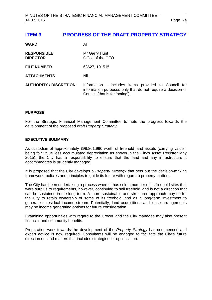<span id="page-23-0"></span>

| <b>WARD</b>                           | All                                                                                                                                                    |
|---------------------------------------|--------------------------------------------------------------------------------------------------------------------------------------------------------|
| <b>RESPONSIBLE</b><br><b>DIRECTOR</b> | Mr Garry Hunt<br>Office of the CEO                                                                                                                     |
| <b>FILE NUMBER</b>                    | 63627, 101515                                                                                                                                          |
| <b>ATTACHMENTS</b>                    | Nil.                                                                                                                                                   |
| <b>AUTHORITY / DISCRETION</b>         | Information - includes items provided to Council for<br>information purposes only that do not require a decision of<br>Council (that is for 'noting'). |

# **PURPOSE**

For the Strategic Financial Management Committee to note the progress towards the development of the proposed draft *Property Strategy.* 

# **EXECUTIVE SUMMARY**

As custodian of approximately \$98,861,990 worth of freehold land assets (carrying value being fair value less accumulated depreciation as shown in the City's Asset Register May 2015), the City has a responsibility to ensure that the land and any infrastructure it accommodates is prudently managed.

It is proposed that the City develops a *Property Strategy* that sets out the decision-making framework, policies and principles to guide its future with regard to property matters.

The City has been undertaking a process where it has sold a number of its freehold sites that were surplus to requirements, however, continuing to sell freehold land is not a direction that can be sustained in the long term. A more sustainable and structured approach may be for the City to retain ownership of some of its freehold land as a long-term investment to generate a residual income stream. Potentially, land acquisitions and lease arrangements may be income generating options for future consideration.

Examining opportunities with regard to the Crown land the City manages may also present financial and community benefits.

Preparation work towards the development of the *Property Strategy* has commenced and expert advice is now required. Consultants will be engaged to facilitate the City's future direction on land matters that includes strategies for optimisation.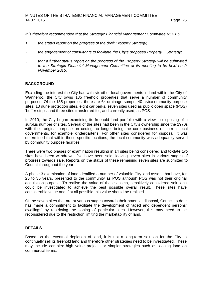*It is therefore recommended that the Strategic Financial Management Committee NOTES:*

- *1 the status report on the progress of the draft Property Strategy;*
- *2 the engagement of consultants to facilitate the City's proposed Property Strategy;*
- *3 that a further status report on the progress of the Property Strategy will be submitted to the Strategic Financial Management Committee at its meeting to be held on 9 November 2015.*

# **BACKGROUND**

Excluding the interest the City has with six other local governments in land within the City of Wanneroo, the City owns 135 freehold properties that serve a number of community purposes. Of the 135 properties, there are 64 drainage sumps, 40 civic/community purpose sites, 13 dune protection sites, eight car parks, seven sites used as public open space (POS) 'buffer strips' and three sites transferred for, and currently used, as POS.

In 2010, the City began examining its freehold land portfolio with a view to disposing of a surplus number of sites. Several of the sites had been in the City's ownership since the 1970s with their original purpose on ceding no longer being the core business of current local governments, for example kindergartens. For other sites considered for disposal, it was determined that within those specific locations, the local community was adequately served by community purpose facilities.

There were two phases of examination resulting in 14 sites being considered and to-date two sites have been withdrawn, five have been sold, leaving seven sites in various stages of progress towards sale. Reports on the status of these remaining seven sites are submitted to Council throughout the year.

A phase 3 examination of land identified a number of valuable City land assets that have, for 25 to 35 years, presented to the community as POS although POS was not their original acquisition purpose. To realise the value of these assets, sensitively considered solutions could be investigated to achieve the best possible overall result. These sites have considerable value and if at all possible this value should be realised.

Of the seven sites that are at various stages towards their potential disposal, Council to date has made a commitment to facilitate the development of 'aged and dependent persons' dwellings' by restricting the zoning of particular sites. However, this may need to be reconsidered due to the restriction limiting the marketability of land.

# **DETAILS**

Based on the eventual depletion of land, it is not a long-term solution for the City to continually sell its freehold land and therefore other strategies need to be investigated. These may include complex high value projects or simpler strategies such as leasing land on commercial terms.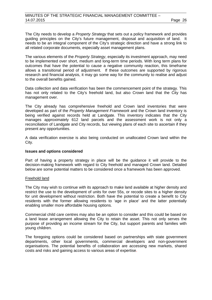The City needs to develop a *Property Strategy* that sets out a policy framework and provides guiding principles on the City's future management, disposal and acquisition of land. It needs to be an integral component of the City's strategic direction and have a strong link to all related corporate documents, especially asset management plans.

The various elements of the *Property Strategy*, especially its investment approach, may need to be implemented over short, medium and long-term time periods. With long term plans for outcomes that have the potential to cause a negative community reaction, this timeframe allows a transitional period of adjustment. If these outcomes are supported by rigorous research and financial analysis, it may go some way for the community to realise and adjust to the overall benefits gained.

Data collection and data verification has been the commencement point of the strategy. This has not only related to the City's freehold land, but also Crown land that the City has management over.

The City already has comprehensive freehold and Crown land inventories that were developed as part of the *Property Management Framework* and the Crown land inventory is being verified against records held at Landgate. This inventory indicates that the City manages approximately 612 land parcels and the assessment work is not only a reconciliation of Landgate and City records, but viewing plans of each site to ascertain if they present any opportunities.

A data verification exercise is also being conducted on unallocated Crown land within the City.

#### **Issues and options considered**

Part of having a property strategy in place will be the guidance it will provide to the decision-making framework with regard to City freehold and managed Crown land. Detailed below are some potential matters to be considered once a framework has been approved.

#### Freehold land

The City may wish to continue with its approach to make land available at higher density and restrict the use to the development of units for over 55s, or recode sites to a higher density for unit development without restriction. Both have the potential to create a benefit to City residents with the former allowing residents to 'age in place' and the latter potentially enabling smaller more affordable housing options.

Commercial child care centres may also be an option to consider and this could be based on a land lease arrangement allowing the City to retain the asset. This not only serves the purpose of providing an income stream for the City, but support parents and families with young children.

The foregoing options could be considered based on partnerships with state government departments, other local governments, commercial developers and non-government organisations. The potential benefits of collaboration are accessing new markets, shared costs and risks and gaining access to various areas of expertise.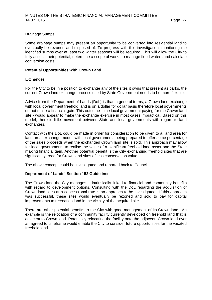# Drainage Sumps

Some drainage sumps may present an opportunity to be converted into residential land to eventually be rezoned and disposed of. To progress with this investigation, monitoring the identified sumps over at least two winter seasons will be required. This will allow the City to fully assess their potential, determine a scope of works to manage flood waters and calculate conversion costs.

## **Potential Opportunities with Crown Land**

#### **Exchanges**

For the City to be in a position to exchange any of the sites it owns that present as parks, the current Crown land exchange process used by State Government needs to be more flexible.

Advice from the Department of Lands (DoL) is that in general terms, a Crown land exchange with local government freehold land is on a dollar for dollar basis therefore local governments do not make a financial gain. This outcome – the local government paying for the Crown land site - would appear to make the exchange exercise in most cases impractical. Based on this model, there is little movement between State and local governments with regard to land exchanges.

Contact with the DoL could be made in order for consideration to be given to a 'land area for land area' exchange model, with local governments being prepared to offer some percentage of the sales proceeds when the exchanged Crown land site is sold. This approach may allow for local governments to realise the value of a significant freehold land asset and the State making financial gain. Another potential benefit is the City exchanging freehold sites that are significantly treed for Crown land sites of less conservation value.

The above concept could be investigated and reported back to Council.

# **Department of Lands' Section 152 Guidelines**

The Crown land the City manages is intrinsically linked to financial and community benefits with regard to development options. Consulting with the DoL regarding the acquisition of Crown land sites at a concessional rate is an approach to be investigated. If this approach was successful, these sites would eventually be rezoned and sold to pay for capital improvements to recreation land in the vicinity of the acquired site.

There are other potential benefits to the City with good management of its Crown land. An example is the relocation of a community facility currently developed on freehold land that is adjacent to Crown land. Potentially relocating the facility onto the adjacent Crown land over an agreed to timeframe would enable the City to consider future opportunities for the vacated freehold land.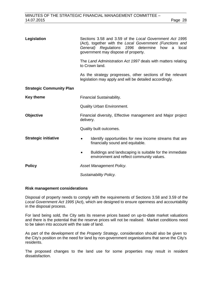| Legislation                     | Sections 3.58 and 3.59 of the Local Government Act 1995<br>(Act), together with the Local Government (Functions and<br>General) Regulations 1996 determine how<br>local<br>a<br>government may dispose of property. |  |  |  |
|---------------------------------|---------------------------------------------------------------------------------------------------------------------------------------------------------------------------------------------------------------------|--|--|--|
|                                 | The Land Administration Act 1997 deals with matters relating<br>to Crown land.                                                                                                                                      |  |  |  |
|                                 | As the strategy progresses, other sections of the relevant<br>legislation may apply and will be detailed accordingly.                                                                                               |  |  |  |
| <b>Strategic Community Plan</b> |                                                                                                                                                                                                                     |  |  |  |
| <b>Key theme</b>                | Financial Sustainability.                                                                                                                                                                                           |  |  |  |
|                                 | <b>Quality Urban Environment.</b>                                                                                                                                                                                   |  |  |  |
| <b>Objective</b>                | Financial diversity, Effective management and Major project<br>delivery.                                                                                                                                            |  |  |  |
|                                 | Quality built outcomes.                                                                                                                                                                                             |  |  |  |
| <b>Strategic initiative</b>     | Identify opportunities for new income streams that are.<br>$\bullet$<br>financially sound and equitable.                                                                                                            |  |  |  |
|                                 | Buildings and landscaping is suitable for the immediate<br>environment and reflect community values.                                                                                                                |  |  |  |
| <b>Policy</b>                   | Asset Management Policy.                                                                                                                                                                                            |  |  |  |
|                                 | Sustainability Policy.                                                                                                                                                                                              |  |  |  |

#### **Risk management considerations**

Disposal of property needs to comply with the requirements of Sections 3.58 and 3.59 of the *Local Government Act 1995* (Act), which are designed to ensure openness and accountability in the disposal process.

For land being sold, the City sets its reserve prices based on up-to-date market valuations and there is the potential that the reserve prices will not be realised. Market conditions need to be taken into account with the sale of land.

As part of the development of the *Property Strategy*, consideration should also be given to the City's position on the need for land by non-government organisations that serve the City's residents.

The proposed changes to the land use for some properties may result in resident dissatisfaction.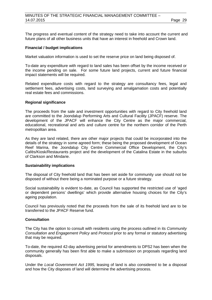The progress and eventual content of the strategy need to take into account the current and future plans of all other business units that have an interest in freehold and Crown land.

## **Financial / budget implications**

Market valuation information is used to set the reserve price on land being disposed of.

To-date any expenditure with regard to land sales has been offset by the income received or the income pending on sale. For some future land projects, current and future financial impact statements will be required.

Related expenditure costs with regard to the strategy are consultancy fees, legal and settlement fees, advertising costs, land surveying and amalgamation costs and potentially real estate fees and commissions.

#### **Regional significance**

The proceeds from the sale and investment opportunities with regard to City freehold land are committed to the Joondalup Performing Arts and Cultural Facility (JPACF) reserve. The development of the JPACF will enhance the City Centre as the major commercial, educational, recreational and arts and culture centre for the northern corridor of the Perth metropolitan area.

As they are land related, there are other major projects that could be incorporated into the details of the strategy in some agreed form; these being the proposed development of Ocean Reef Marina, the Joondalup City Centre Commercial Office Development, the City's Cafés/Kiosk/Restaurants project and the development of the Catalina Estate in the suburbs of Clarkson and Mindarie.

## **Sustainability implications**

The disposal of City freehold land that has been set aside for community use should not be disposed of without there being a nominated purpose or a future strategy.

Social sustainability is evident to-date, as Council has supported the restricted use of 'aged or dependent persons' dwellings' which provide alternative housing choices for the City's ageing population.

Council has previously noted that the proceeds from the sale of its freehold land are to be transferred to the JPACF Reserve fund.

# **Consultation**

The City has the option to consult with residents using the process outlined in its *Community Consultation and Engagement Policy* and *Protocol* prior to any formal or statutory advertising that may be required.

To-date, the required 42-day advertising period for amendments to DPS2 has been when the community generally has been first able to make a submission on proposals regarding land disposals.

Under the *Local Government Act 1995,* leasing of land is also considered to be a disposal and how the City disposes of land will determine the advertising process.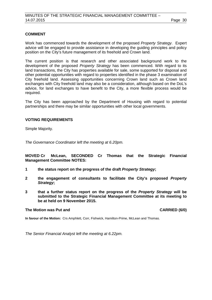# **COMMENT**

Work has commenced towards the development of the proposed *Property Strategy*. Expert advice will be engaged to provide assistance in developing the guiding principles and policy position on the City's future management of its freehold and Crown land.

The current position is that research and other associated background work to the development of the proposed *Property Strategy* has been commenced. With regard to its land transactions, the City has properties available for sale, some supported for disposal and other potential opportunities with regard to properties identified in the phase 3 examination of City freehold land. Assessing opportunities concerning Crown land such as Crown land exchanges with City freehold land may also be a consideration, although based on the DoL's advice, for land exchanges to have benefit to the City, a more flexible process would be required.

The City has been approached by the Department of Housing with regard to potential partnerships and there may be similar opportunities with other local governments.

# **VOTING REQUIREMENTS**

Simple Majority.

*The Governance Coordinator left the meeting at 6.20pm.*

**MOVED Cr McLean, SECONDED Cr Thomas that the Strategic Financial Management Committee NOTES:**

- **1 the status report on the progress of the draft** *Property Strategy***;**
- **2 the engagement of consultants to facilitate the City's proposed** *Property Strategy***;**
- **3 that a further status report on the progress of the** *Property Strategy* **will be submitted to the Strategic Financial Management Committee at its meeting to be at held on 9 November 2015.**

## **The Motion was Put and CARRIED (6/0)**

**In favour of the Motion:** Crs Amphlett, Corr, Fishwick, Hamilton-Prime, McLean and Thomas.

*The Senior Financial Analyst left the meeting at 6.22pm.*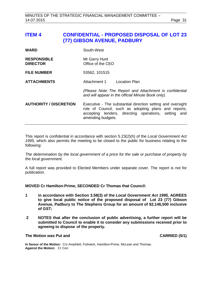<span id="page-30-0"></span>**ITEM 4 CONFIDENTIAL - PROPOSED DISPOSAL OF LOT 23 (77) GIBSON AVENUE, PADBURY**  WARD South-West **RESPONSIBLE** Mr Garry Hunt<br> **DIRECTOR** Office of the C **Diffice of the CEO FILE NUMBER** 53562, 101515 **ATTACHMENTS** Attachment 1 Location Plan *(Please Note: The Report and Attachment is confidential and will appear in the official Minute Book only).* **AUTHORITY / DISCRETION** Executive - The substantial direction setting and oversight role of Council, such as adopting plans and reports, accepting tenders, directing operations, setting and amending budgets.

This report is confidential in accordance with section 5.23(2)(h) of the *Local Government Act 1995*, which also permits the meeting to be closed to the public for business relating to the following:

*The determination by the local government of a price for the sale or purchase of property by the local government.*

A full report was provided to Elected Members under separate cover. The report is not for publication.

#### **MOVED Cr Hamilton-Prime, SECONDED Cr Thomas that Council:**

- **1 in accordance with Section 3.58(3) of the** *Local Government Act 1995,* **AGREES to give local public notice of the proposed disposal of Lot 23 (77) Gibson Avenue, Padbury to The Stephens Group for an amount of \$2,146,500 inclusive of GST;**
- **2 NOTES that after the conclusion of public advertising, a further report will be submitted to Council to enable it to consider any submissions received prior to agreeing to dispose of the property.**

## **The Motion was Put and CARRIED (5/1)**

**In favour of the Motion:** Crs Amphlett, Fishwick, Hamilton-Prime, McLean and Thomas. **Against the Motion:** Cr Corr.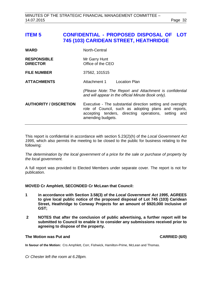# <span id="page-31-0"></span>**ITEM 5 CONFIDENTIAL - PROPOSED DISPOSAL OF LOT 745 (103) CARIDEAN STREET, HEATHRIDGE**

| <b>WARD</b>                           | North-Central                                                                                                                                                                                    |  |  |
|---------------------------------------|--------------------------------------------------------------------------------------------------------------------------------------------------------------------------------------------------|--|--|
| <b>RESPONSIBLE</b><br><b>DIRECTOR</b> | Mr Garry Hunt<br>Office of the CEO                                                                                                                                                               |  |  |
| <b>FILE NUMBER</b>                    | 37562, 101515                                                                                                                                                                                    |  |  |
| <b>ATTACHMENTS</b>                    | Attachment 1<br><b>Location Plan</b>                                                                                                                                                             |  |  |
|                                       | (Please Note: The Report and Attachment is confidential<br>and will appear in the official Minute Book only).                                                                                    |  |  |
| <b>AUTHORITY / DISCRETION</b>         | Executive - The substantial direction setting and oversight<br>role of Council, such as adopting plans and reports,<br>accepting tenders, directing operations, setting and<br>amending budgets. |  |  |

This report is confidential in accordance with section 5.23(2)(h) of the *Local Government Act 1995*, which also permits the meeting to be closed to the public for business relating to the following:

*The determination by the local government of a price for the sale or purchase of property by the local government.*

A full report was provided to Elected Members under separate cover. The report is not for publication.

**MOVED Cr Amphlett, SECONDED Cr McLean that Council:**

- **1 in accordance with Section 3.58(3) of the** *Local Government Act 1995***, AGREES to give local public notice of the proposed disposal of Lot 745 (103) Caridean Street, Heathridge to Conway Projects for an amount of \$920,000 inclusive of GST;**
- **2 NOTES that after the conclusion of public advertising, a further report will be submitted to Council to enable it to consider any submissions received prior to agreeing to dispose of the property.**

#### **The Motion was Put and CARRIED (6/0)**

**In favour of the Motion:** Crs Amphlett, Corr, Fishwick, Hamilton-Prime, McLean and Thomas.

*Cr Chester left the room at 6.28pm.*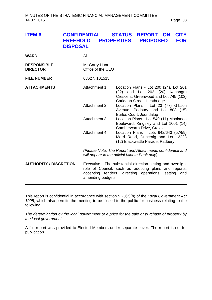<span id="page-32-0"></span>

| <b>ITEM 6</b> |                                                     | <b>CONFIDENTIAL - STATUS REPORT ON CITY</b> |  |  |  |
|---------------|-----------------------------------------------------|---------------------------------------------|--|--|--|
|               | FREEHOLD PROPERTIES PROPOSED FOR<br><b>DISPOSAL</b> |                                             |  |  |  |

| WARD                                  | All                                |                                                                                                                                                                             |
|---------------------------------------|------------------------------------|-----------------------------------------------------------------------------------------------------------------------------------------------------------------------------|
| <b>RESPONSIBLE</b><br><b>DIRECTOR</b> | Mr Garry Hunt<br>Office of the CEO |                                                                                                                                                                             |
| <b>FILE NUMBER</b>                    | 63627, 101515                      |                                                                                                                                                                             |
| <b>ATTACHMENTS</b>                    | Attachment 1                       | Location Plans - Lot 200 (24), Lot 201<br>(22) and Lot 202 (20) Kanangra<br>Crescent, Greenwood and Lot 745 (103)<br>Caridean Street, Heathridge                            |
|                                       | Attachment 2                       | Location Plans - Lot 23 (77) Gibson<br>Avenue, Padbury and Lot 803 (15)<br>Burlos Court, Joondalup                                                                          |
|                                       | Attachment 3                       | Location Plans - Lot 549 (11) Moolanda<br>Boulevard, Kingsley and Lot 1001 (14)<br>Camberwarra Drive, Craigie                                                               |
|                                       | Attachment 4                       | Location Plans - Lots 642/643 (57/59)<br>Marri Road, Duncraig and Lot 12223<br>(12) Blackwattle Parade, Padbury                                                             |
|                                       |                                    | (Please Note: The Report and Attachments confidential and<br>will appear in the official Minute Book only).                                                                 |
| <b>AUTHORITY / DISCRETION</b>         | amending budgets.                  | Executive - The substantial direction setting and oversight<br>role of Council, such as adopting plans and reports,<br>accepting tenders, directing operations, setting and |

This report is confidential in accordance with section 5.23(2)(h) of the *Local Government Act 1995*, which also permits the meeting to be closed to the public for business relating to the following:

*The determination by the local government of a price for the sale or purchase of property by the local government.*

A full report was provided to Elected Members under separate cover. The report is not for publication.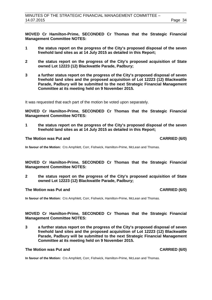**MOVED Cr Hamilton-Prime, SECONDED Cr Thomas that the Strategic Financial Management Committee NOTES:** 

- **1 the status report on the progress of the City's proposed disposal of the seven freehold land sites as at 14 July 2015 as detailed in this Report;**
- **2 the status report on the progress of the City's proposed acquisition of State owned Lot 12223 (12) Blackwattle Parade, Padbury;**
- **3 a further status report on the progress of the City's proposed disposal of seven freehold land sites and the proposed acquisition of Lot 12223 (12) Blackwattle Parade, Padbury will be submitted to the next Strategic Financial Management Committee at its meeting held on 9 November 2015.**

It was requested that each part of the motion be voted upon separately.

**MOVED Cr Hamilton-Prime, SECONDED Cr Thomas that the Strategic Financial Management Committee NOTES:** 

**1 the status report on the progress of the City's proposed disposal of the seven freehold land sites as at 14 July 2015 as detailed in this Report;**

#### **The Motion was Put and CARRIED (6/0)**

**In favour of the Motion:** Crs Amphlett, Corr, Fishwick, Hamilton-Prime, McLean and Thomas.

**MOVED Cr Hamilton-Prime, SECONDED Cr Thomas that the Strategic Financial Management Committee NOTES:** 

**2 the status report on the progress of the City's proposed acquisition of State owned Lot 12223 (12) Blackwattle Parade, Padbury;**

#### **The Motion was Put and CARRIED (6/0)**

**In favour of the Motion:** Crs Amphlett, Corr, Fishwick, Hamilton-Prime, McLean and Thomas.

**MOVED Cr Hamilton-Prime, SECONDED Cr Thomas that the Strategic Financial Management Committee NOTES:** 

**3 a further status report on the progress of the City's proposed disposal of seven freehold land sites and the proposed acquisition of Lot 12223 (12) Blackwattle Parade, Padbury will be submitted to the next Strategic Financial Management Committee at its meeting held on 9 November 2015.**

# **The Motion was Put and CARRIED (6/0)**

**In favour of the Motion:** Crs Amphlett, Corr, Fishwick, Hamilton-Prime, McLean and Thomas.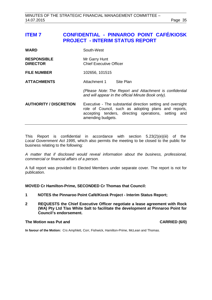# <span id="page-34-0"></span>**ITEM 7 CONFIDENTIAL - PINNAROO POINT CAFÉ/KIOSK PROJECT - INTERIM STATUS REPORT**

| <b>WARD</b> | South-West |
|-------------|------------|
|             |            |

**RESPONSIBLE** Mr Garry Hunt<br> **DIRECTOR** Chief Executive **Chief Executive Officer** 

**FILE NUMBER** 102656, 101515

**ATTACHMENTS** Attachment 1 Site Plan

*(Please Note: The Report and Attachment is confidential and will appear in the official Minute Book only).*

**AUTHORITY / DISCRETION** Executive - The substantial direction setting and oversight role of Council, such as adopting plans and reports, accepting tenders, directing operations, setting and amending budgets.

This Report is confidential in accordance with section 5.23(2)(e)(iii) of the *Local Government Act 1995*, which also permits the meeting to be closed to the public for business relating to the following:

*A matter that if disclosed would reveal information about the business, professional, commercial or financial affairs of a person.*

A full report was provided to Elected Members under separate cover. The report is not for publication.

**MOVED Cr Hamilton-Prime, SECONDED Cr Thomas that Council:**

- **1 NOTES the Pinnaroo Point Café/Kiosk Project - Interim Status Report;**
- **2 REQUESTS the Chief Executive Officer negotiate a lease agreement with Rock (WA) Pty Ltd T/as White Salt to facilitate the development at Pinnaroo Point for Council's endorsement.**

#### **The Motion was Put and CARRIED (6/0)**

**In favour of the Motion:** Crs Amphlett, Corr, Fishwick, Hamilton-Prime, McLean and Thomas.